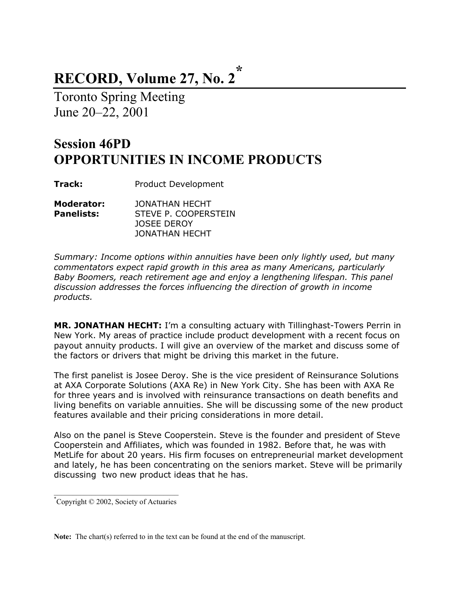## **RECORD, Volume 27, No. 2\***

Toronto Spring Meeting June 20–22, 2001

### **Session 46PD OPPORTUNITIES IN INCOME PRODUCTS**

**Track:** Product Development

| Moderator:        | JONATHAN HECHT       |
|-------------------|----------------------|
| <b>Panelists:</b> | STEVE P. COOPERSTEIN |
|                   | JOSEE DEROY          |
|                   | JONATHAN HECHT       |

*Summary: Income options within annuities have been only lightly used, but many commentators expect rapid growth in this area as many Americans, particularly Baby Boomers, reach retirement age and enjoy a lengthening lifespan. This panel discussion addresses the forces influencing the direction of growth in income products.* 

**MR. JONATHAN HECHT:** I'm a consulting actuary with Tillinghast-Towers Perrin in New York. My areas of practice include product development with a recent focus on payout annuity products. I will give an overview of the market and discuss some of the factors or drivers that might be driving this market in the future.

The first panelist is Josee Deroy. She is the vice president of Reinsurance Solutions at AXA Corporate Solutions (AXA Re) in New York City. She has been with AXA Re for three years and is involved with reinsurance transactions on death benefits and living benefits on variable annuities. She will be discussing some of the new product features available and their pricing considerations in more detail.

Also on the panel is Steve Cooperstein. Steve is the founder and president of Steve Cooperstein and Affiliates, which was founded in 1982. Before that, he was with MetLife for about 20 years. His firm focuses on entrepreneurial market development and lately, he has been concentrating on the seniors market. Steve will be primarily discussing two new product ideas that he has.

 $\mathcal{L}_\text{max}$  , and the set of the set of the set of the set of the set of the set of the set of the set of the set of the set of the set of the set of the set of the set of the set of the set of the set of the set of the \* Copyright © 2002, Society of Actuaries

**Note:** The chart(s) referred to in the text can be found at the end of the manuscript.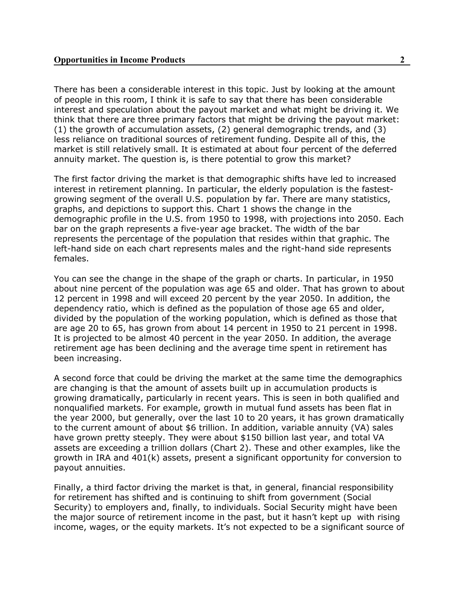There has been a considerable interest in this topic. Just by looking at the amount of people in this room, I think it is safe to say that there has been considerable interest and speculation about the payout market and what might be driving it. We think that there are three primary factors that might be driving the payout market: (1) the growth of accumulation assets, (2) general demographic trends, and (3) less reliance on traditional sources of retirement funding. Despite all of this, the market is still relatively small. It is estimated at about four percent of the deferred annuity market. The question is, is there potential to grow this market?

The first factor driving the market is that demographic shifts have led to increased interest in retirement planning. In particular, the elderly population is the fastestgrowing segment of the overall U.S. population by far. There are many statistics, graphs, and depictions to support this. Chart 1 shows the change in the demographic profile in the U.S. from 1950 to 1998, with projections into 2050. Each bar on the graph represents a five-year age bracket. The width of the bar represents the percentage of the population that resides within that graphic. The left-hand side on each chart represents males and the right-hand side represents females.

You can see the change in the shape of the graph or charts. In particular, in 1950 about nine percent of the population was age 65 and older. That has grown to about 12 percent in 1998 and will exceed 20 percent by the year 2050. In addition, the dependency ratio, which is defined as the population of those age 65 and older, divided by the population of the working population, which is defined as those that are age 20 to 65, has grown from about 14 percent in 1950 to 21 percent in 1998. It is projected to be almost 40 percent in the year 2050. In addition, the average retirement age has been declining and the average time spent in retirement has been increasing.

A second force that could be driving the market at the same time the demographics are changing is that the amount of assets built up in accumulation products is growing dramatically, particularly in recent years. This is seen in both qualified and nonqualified markets. For example, growth in mutual fund assets has been flat in the year 2000, but generally, over the last 10 to 20 years, it has grown dramatically to the current amount of about \$6 trillion. In addition, variable annuity (VA) sales have grown pretty steeply. They were about \$150 billion last year, and total VA assets are exceeding a trillion dollars (Chart 2). These and other examples, like the growth in IRA and 401(k) assets, present a significant opportunity for conversion to payout annuities.

Finally, a third factor driving the market is that, in general, financial responsibility for retirement has shifted and is continuing to shift from government (Social Security) to employers and, finally, to individuals. Social Security might have been the major source of retirement income in the past, but it hasn't kept up with rising income, wages, or the equity markets. It's not expected to be a significant source of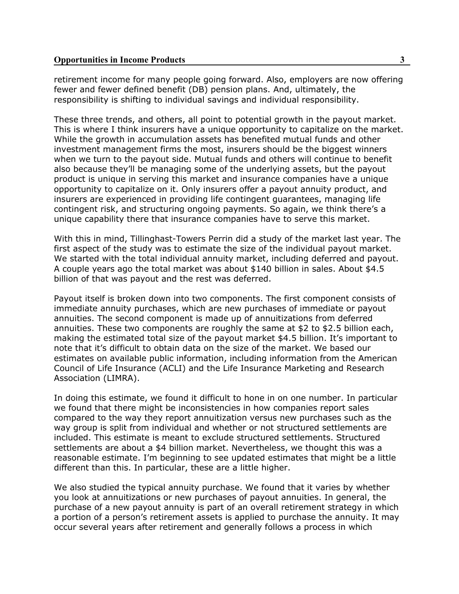retirement income for many people going forward. Also, employers are now offering fewer and fewer defined benefit (DB) pension plans. And, ultimately, the responsibility is shifting to individual savings and individual responsibility.

These three trends, and others, all point to potential growth in the payout market. This is where I think insurers have a unique opportunity to capitalize on the market. While the growth in accumulation assets has benefited mutual funds and other investment management firms the most, insurers should be the biggest winners when we turn to the payout side. Mutual funds and others will continue to benefit also because they'll be managing some of the underlying assets, but the payout product is unique in serving this market and insurance companies have a unique opportunity to capitalize on it. Only insurers offer a payout annuity product, and insurers are experienced in providing life contingent guarantees, managing life contingent risk, and structuring ongoing payments. So again, we think there's a unique capability there that insurance companies have to serve this market.

With this in mind, Tillinghast-Towers Perrin did a study of the market last year. The first aspect of the study was to estimate the size of the individual payout market. We started with the total individual annuity market, including deferred and payout. A couple years ago the total market was about \$140 billion in sales. About \$4.5 billion of that was payout and the rest was deferred.

Payout itself is broken down into two components. The first component consists of immediate annuity purchases, which are new purchases of immediate or payout annuities. The second component is made up of annuitizations from deferred annuities. These two components are roughly the same at \$2 to \$2.5 billion each, making the estimated total size of the payout market \$4.5 billion. It's important to note that it's difficult to obtain data on the size of the market. We based our estimates on available public information, including information from the American Council of Life Insurance (ACLI) and the Life Insurance Marketing and Research Association (LIMRA).

In doing this estimate, we found it difficult to hone in on one number. In particular we found that there might be inconsistencies in how companies report sales compared to the way they report annuitization versus new purchases such as the way group is split from individual and whether or not structured settlements are included. This estimate is meant to exclude structured settlements. Structured settlements are about a \$4 billion market. Nevertheless, we thought this was a reasonable estimate. I'm beginning to see updated estimates that might be a little different than this. In particular, these are a little higher.

We also studied the typical annuity purchase. We found that it varies by whether you look at annuitizations or new purchases of payout annuities. In general, the purchase of a new payout annuity is part of an overall retirement strategy in which a portion of a person's retirement assets is applied to purchase the annuity. It may occur several years after retirement and generally follows a process in which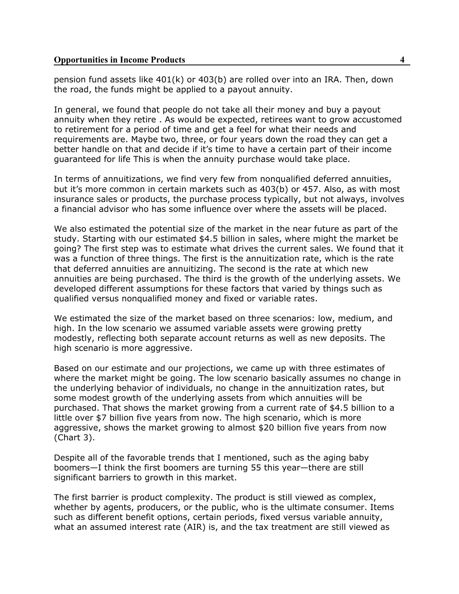pension fund assets like 401(k) or 403(b) are rolled over into an IRA. Then, down the road, the funds might be applied to a payout annuity.

In general, we found that people do not take all their money and buy a payout annuity when they retire . As would be expected, retirees want to grow accustomed to retirement for a period of time and get a feel for what their needs and requirements are. Maybe two, three, or four years down the road they can get a better handle on that and decide if it's time to have a certain part of their income guaranteed for life This is when the annuity purchase would take place.

In terms of annuitizations, we find very few from nonqualified deferred annuities, but it's more common in certain markets such as 403(b) or 457. Also, as with most insurance sales or products, the purchase process typically, but not always, involves a financial advisor who has some influence over where the assets will be placed.

We also estimated the potential size of the market in the near future as part of the study. Starting with our estimated \$4.5 billion in sales, where might the market be going? The first step was to estimate what drives the current sales. We found that it was a function of three things. The first is the annuitization rate, which is the rate that deferred annuities are annuitizing. The second is the rate at which new annuities are being purchased. The third is the growth of the underlying assets. We developed different assumptions for these factors that varied by things such as qualified versus nonqualified money and fixed or variable rates.

We estimated the size of the market based on three scenarios: low, medium, and high. In the low scenario we assumed variable assets were growing pretty modestly, reflecting both separate account returns as well as new deposits. The high scenario is more aggressive.

Based on our estimate and our projections, we came up with three estimates of where the market might be going. The low scenario basically assumes no change in the underlying behavior of individuals, no change in the annuitization rates, but some modest growth of the underlying assets from which annuities will be purchased. That shows the market growing from a current rate of \$4.5 billion to a little over \$7 billion five years from now. The high scenario, which is more aggressive, shows the market growing to almost \$20 billion five years from now (Chart 3).

Despite all of the favorable trends that I mentioned, such as the aging baby boomers—I think the first boomers are turning 55 this year—there are still significant barriers to growth in this market.

The first barrier is product complexity. The product is still viewed as complex, whether by agents, producers, or the public, who is the ultimate consumer. Items such as different benefit options, certain periods, fixed versus variable annuity, what an assumed interest rate (AIR) is, and the tax treatment are still viewed as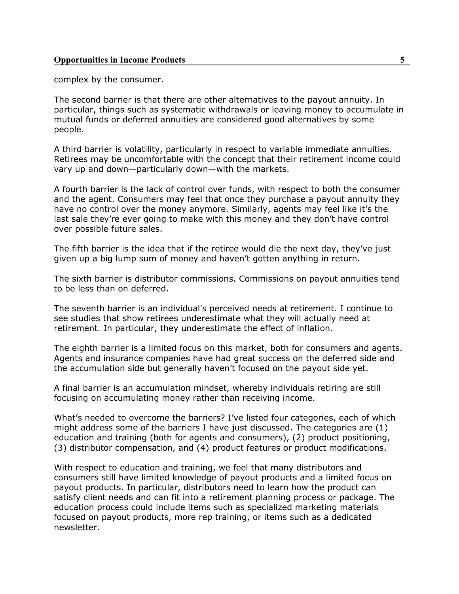complex by the consumer.

The second barrier is that there are other alternatives to the payout annuity. In particular, things such as systematic withdrawals or leaving money to accumulate in mutual funds or deferred annuities are considered good alternatives by some people.

A third barrier is volatility, particularly in respect to variable immediate annuities. Retirees may be uncomfortable with the concept that their retirement income could vary up and down—particularly down—with the markets.

A fourth barrier is the lack of control over funds, with respect to both the consumer and the agent. Consumers may feel that once they purchase a payout annuity they have no control over the money anymore. Similarly, agents may feel like it's the last sale they're ever going to make with this money and they don't have control over possible future sales.

The fifth barrier is the idea that if the retiree would die the next day, they've just given up a big lump sum of money and haven't gotten anything in return.

The sixth barrier is distributor commissions. Commissions on payout annuities tend to be less than on deferred.

The seventh barrier is an individual's perceived needs at retirement. I continue to see studies that show retirees underestimate what they will actually need at retirement. In particular, they underestimate the effect of inflation.

The eighth barrier is a limited focus on this market, both for consumers and agents. Agents and insurance companies have had great success on the deferred side and the accumulation side but generally haven't focused on the payout side yet.

A final barrier is an accumulation mindset, whereby individuals retiring are still focusing on accumulating money rather than receiving income.

What's needed to overcome the barriers? I've listed four categories, each of which might address some of the barriers I have just discussed. The categories are (1) education and training (both for agents and consumers), (2) product positioning, (3) distributor compensation, and (4) product features or product modifications.

With respect to education and training, we feel that many distributors and consumers still have limited knowledge of payout products and a limited focus on payout products. In particular, distributors need to learn how the product can satisfy client needs and can fit into a retirement planning process or package. The education process could include items such as specialized marketing materials focused on payout products, more rep training, or items such as a dedicated newsletter.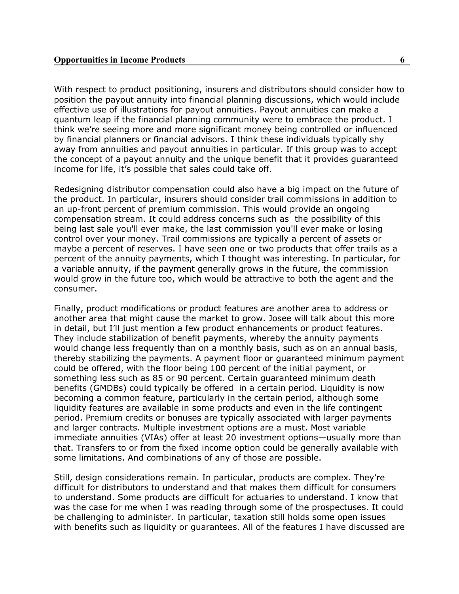With respect to product positioning, insurers and distributors should consider how to position the payout annuity into financial planning discussions, which would include effective use of illustrations for payout annuities. Payout annuities can make a quantum leap if the financial planning community were to embrace the product. I think we're seeing more and more significant money being controlled or influenced by financial planners or financial advisors. I think these individuals typically shy away from annuities and payout annuities in particular. If this group was to accept the concept of a payout annuity and the unique benefit that it provides guaranteed income for life, it's possible that sales could take off.

Redesigning distributor compensation could also have a big impact on the future of the product. In particular, insurers should consider trail commissions in addition to an up-front percent of premium commission. This would provide an ongoing compensation stream. It could address concerns such as the possibility of this being last sale you'll ever make, the last commission you'll ever make or losing control over your money. Trail commissions are typically a percent of assets or maybe a percent of reserves. I have seen one or two products that offer trails as a percent of the annuity payments, which I thought was interesting. In particular, for a variable annuity, if the payment generally grows in the future, the commission would grow in the future too, which would be attractive to both the agent and the consumer.

Finally, product modifications or product features are another area to address or another area that might cause the market to grow. Josee will talk about this more in detail, but I'll just mention a few product enhancements or product features. They include stabilization of benefit payments, whereby the annuity payments would change less frequently than on a monthly basis, such as on an annual basis, thereby stabilizing the payments. A payment floor or guaranteed minimum payment could be offered, with the floor being 100 percent of the initial payment, or something less such as 85 or 90 percent. Certain guaranteed minimum death benefits (GMDBs) could typically be offered in a certain period. Liquidity is now becoming a common feature, particularly in the certain period, although some liquidity features are available in some products and even in the life contingent period. Premium credits or bonuses are typically associated with larger payments and larger contracts. Multiple investment options are a must. Most variable immediate annuities (VIAs) offer at least 20 investment options—usually more than that. Transfers to or from the fixed income option could be generally available with some limitations. And combinations of any of those are possible.

Still, design considerations remain. In particular, products are complex. They're difficult for distributors to understand and that makes them difficult for consumers to understand. Some products are difficult for actuaries to understand. I know that was the case for me when I was reading through some of the prospectuses. It could be challenging to administer. In particular, taxation still holds some open issues with benefits such as liquidity or guarantees. All of the features I have discussed are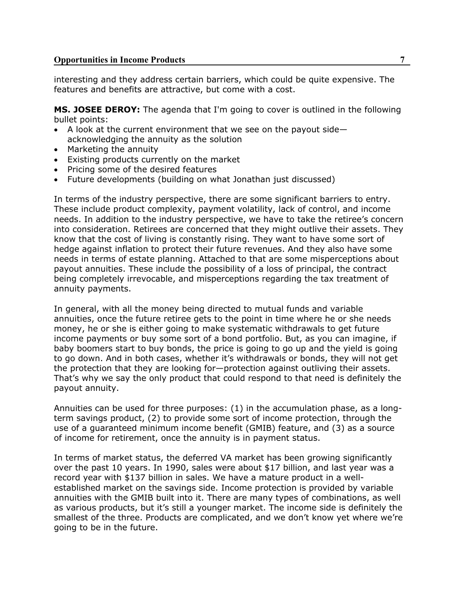interesting and they address certain barriers, which could be quite expensive. The features and benefits are attractive, but come with a cost.

**MS. JOSEE DEROY:** The agenda that I'm going to cover is outlined in the following bullet points:

- A look at the current environment that we see on the payout side acknowledging the annuity as the solution
- Marketing the annuity
- Existing products currently on the market
- Pricing some of the desired features
- Future developments (building on what Jonathan just discussed)

In terms of the industry perspective, there are some significant barriers to entry. These include product complexity, payment volatility, lack of control, and income needs. In addition to the industry perspective, we have to take the retiree's concern into consideration. Retirees are concerned that they might outlive their assets. They know that the cost of living is constantly rising. They want to have some sort of hedge against inflation to protect their future revenues. And they also have some needs in terms of estate planning. Attached to that are some misperceptions about payout annuities. These include the possibility of a loss of principal, the contract being completely irrevocable, and misperceptions regarding the tax treatment of annuity payments.

In general, with all the money being directed to mutual funds and variable annuities, once the future retiree gets to the point in time where he or she needs money, he or she is either going to make systematic withdrawals to get future income payments or buy some sort of a bond portfolio. But, as you can imagine, if baby boomers start to buy bonds, the price is going to go up and the yield is going to go down. And in both cases, whether it's withdrawals or bonds, they will not get the protection that they are looking for—protection against outliving their assets. That's why we say the only product that could respond to that need is definitely the payout annuity.

Annuities can be used for three purposes: (1) in the accumulation phase, as a longterm savings product, (2) to provide some sort of income protection, through the use of a guaranteed minimum income benefit (GMIB) feature, and (3) as a source of income for retirement, once the annuity is in payment status.

In terms of market status, the deferred VA market has been growing significantly over the past 10 years. In 1990, sales were about \$17 billion, and last year was a record year with \$137 billion in sales. We have a mature product in a wellestablished market on the savings side. Income protection is provided by variable annuities with the GMIB built into it. There are many types of combinations, as well as various products, but it's still a younger market. The income side is definitely the smallest of the three. Products are complicated, and we don't know yet where we're going to be in the future.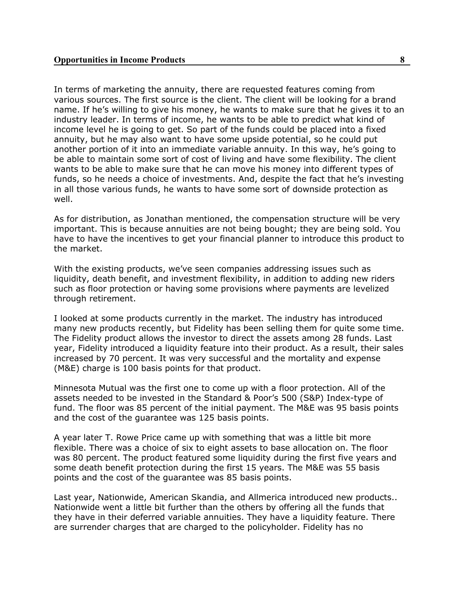In terms of marketing the annuity, there are requested features coming from various sources. The first source is the client. The client will be looking for a brand name. If he's willing to give his money, he wants to make sure that he gives it to an industry leader. In terms of income, he wants to be able to predict what kind of income level he is going to get. So part of the funds could be placed into a fixed annuity, but he may also want to have some upside potential, so he could put another portion of it into an immediate variable annuity. In this way, he's going to be able to maintain some sort of cost of living and have some flexibility. The client wants to be able to make sure that he can move his money into different types of funds, so he needs a choice of investments. And, despite the fact that he's investing in all those various funds, he wants to have some sort of downside protection as well.

As for distribution, as Jonathan mentioned, the compensation structure will be very important. This is because annuities are not being bought; they are being sold. You have to have the incentives to get your financial planner to introduce this product to the market.

With the existing products, we've seen companies addressing issues such as liquidity, death benefit, and investment flexibility, in addition to adding new riders such as floor protection or having some provisions where payments are levelized through retirement.

I looked at some products currently in the market. The industry has introduced many new products recently, but Fidelity has been selling them for quite some time. The Fidelity product allows the investor to direct the assets among 28 funds. Last year, Fidelity introduced a liquidity feature into their product. As a result, their sales increased by 70 percent. It was very successful and the mortality and expense (M&E) charge is 100 basis points for that product.

Minnesota Mutual was the first one to come up with a floor protection. All of the assets needed to be invested in the Standard & Poor's 500 (S&P) Index-type of fund. The floor was 85 percent of the initial payment. The M&E was 95 basis points and the cost of the guarantee was 125 basis points.

A year later T. Rowe Price came up with something that was a little bit more flexible. There was a choice of six to eight assets to base allocation on. The floor was 80 percent. The product featured some liquidity during the first five years and some death benefit protection during the first 15 years. The M&E was 55 basis points and the cost of the guarantee was 85 basis points.

Last year, Nationwide, American Skandia, and Allmerica introduced new products.. Nationwide went a little bit further than the others by offering all the funds that they have in their deferred variable annuities. They have a liquidity feature. There are surrender charges that are charged to the policyholder. Fidelity has no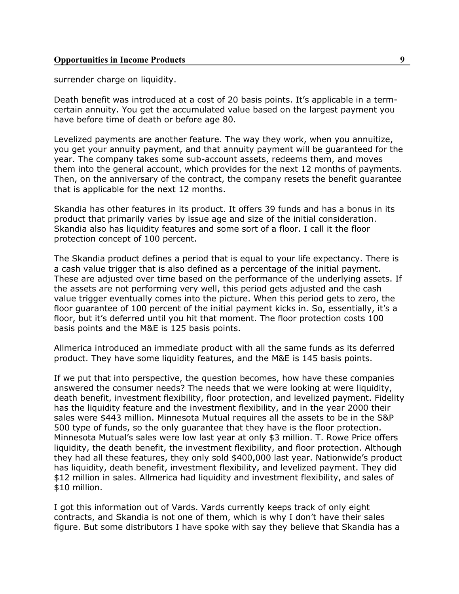surrender charge on liquidity.

Death benefit was introduced at a cost of 20 basis points. It's applicable in a termcertain annuity. You get the accumulated value based on the largest payment you have before time of death or before age 80.

Levelized payments are another feature. The way they work, when you annuitize, you get your annuity payment, and that annuity payment will be guaranteed for the year. The company takes some sub-account assets, redeems them, and moves them into the general account, which provides for the next 12 months of payments. Then, on the anniversary of the contract, the company resets the benefit guarantee that is applicable for the next 12 months.

Skandia has other features in its product. It offers 39 funds and has a bonus in its product that primarily varies by issue age and size of the initial consideration. Skandia also has liquidity features and some sort of a floor. I call it the floor protection concept of 100 percent.

The Skandia product defines a period that is equal to your life expectancy. There is a cash value trigger that is also defined as a percentage of the initial payment. These are adjusted over time based on the performance of the underlying assets. If the assets are not performing very well, this period gets adjusted and the cash value trigger eventually comes into the picture. When this period gets to zero, the floor guarantee of 100 percent of the initial payment kicks in. So, essentially, it's a floor, but it's deferred until you hit that moment. The floor protection costs 100 basis points and the M&E is 125 basis points.

Allmerica introduced an immediate product with all the same funds as its deferred product. They have some liquidity features, and the M&E is 145 basis points.

If we put that into perspective, the question becomes, how have these companies answered the consumer needs? The needs that we were looking at were liquidity, death benefit, investment flexibility, floor protection, and levelized payment. Fidelity has the liquidity feature and the investment flexibility, and in the year 2000 their sales were \$443 million. Minnesota Mutual requires all the assets to be in the S&P 500 type of funds, so the only guarantee that they have is the floor protection. Minnesota Mutual's sales were low last year at only \$3 million. T. Rowe Price offers liquidity, the death benefit, the investment flexibility, and floor protection. Although they had all these features, they only sold \$400,000 last year. Nationwide's product has liquidity, death benefit, investment flexibility, and levelized payment. They did \$12 million in sales. Allmerica had liquidity and investment flexibility, and sales of \$10 million.

I got this information out of Vards. Vards currently keeps track of only eight contracts, and Skandia is not one of them, which is why I don't have their sales figure. But some distributors I have spoke with say they believe that Skandia has a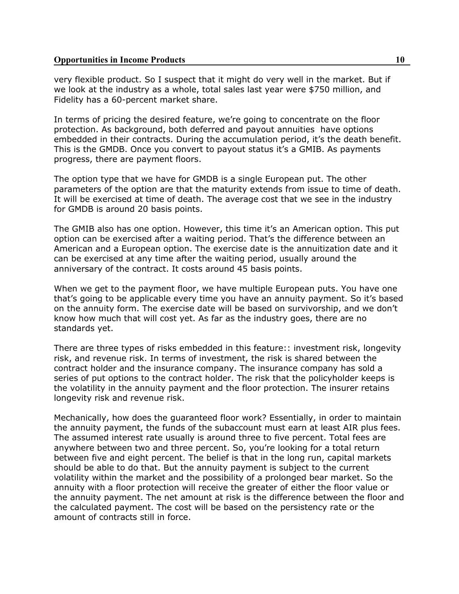very flexible product. So I suspect that it might do very well in the market. But if we look at the industry as a whole, total sales last year were \$750 million, and Fidelity has a 60-percent market share.

In terms of pricing the desired feature, we're going to concentrate on the floor protection. As background, both deferred and payout annuities have options embedded in their contracts. During the accumulation period, it's the death benefit. This is the GMDB. Once you convert to payout status it's a GMIB. As payments progress, there are payment floors.

The option type that we have for GMDB is a single European put. The other parameters of the option are that the maturity extends from issue to time of death. It will be exercised at time of death. The average cost that we see in the industry for GMDB is around 20 basis points.

The GMIB also has one option. However, this time it's an American option. This put option can be exercised after a waiting period. That's the difference between an American and a European option. The exercise date is the annuitization date and it can be exercised at any time after the waiting period, usually around the anniversary of the contract. It costs around 45 basis points.

When we get to the payment floor, we have multiple European puts. You have one that's going to be applicable every time you have an annuity payment. So it's based on the annuity form. The exercise date will be based on survivorship, and we don't know how much that will cost yet. As far as the industry goes, there are no standards yet.

There are three types of risks embedded in this feature:: investment risk, longevity risk, and revenue risk. In terms of investment, the risk is shared between the contract holder and the insurance company. The insurance company has sold a series of put options to the contract holder. The risk that the policyholder keeps is the volatility in the annuity payment and the floor protection. The insurer retains longevity risk and revenue risk.

Mechanically, how does the guaranteed floor work? Essentially, in order to maintain the annuity payment, the funds of the subaccount must earn at least AIR plus fees. The assumed interest rate usually is around three to five percent. Total fees are anywhere between two and three percent. So, you're looking for a total return between five and eight percent. The belief is that in the long run, capital markets should be able to do that. But the annuity payment is subject to the current volatility within the market and the possibility of a prolonged bear market. So the annuity with a floor protection will receive the greater of either the floor value or the annuity payment. The net amount at risk is the difference between the floor and the calculated payment. The cost will be based on the persistency rate or the amount of contracts still in force.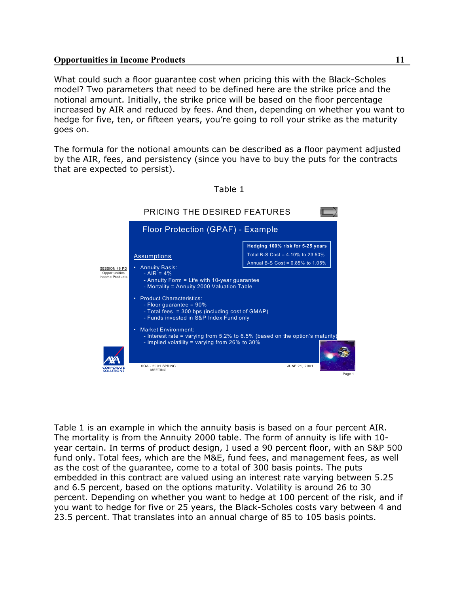What could such a floor guarantee cost when pricing this with the Black-Scholes model? Two parameters that need to be defined here are the strike price and the notional amount. Initially, the strike price will be based on the floor percentage increased by AIR and reduced by fees. And then, depending on whether you want to hedge for five, ten, or fifteen years, you're going to roll your strike as the maturity goes on.

The formula for the notional amounts can be described as a floor payment adjusted by the AIR, fees, and persistency (since you have to buy the puts for the contracts that are expected to persist).



Table 1

Table 1 is an example in which the annuity basis is based on a four percent AIR. The mortality is from the Annuity 2000 table. The form of annuity is life with 10 year certain. In terms of product design, I used a 90 percent floor, with an S&P 500 fund only. Total fees, which are the M&E, fund fees, and management fees, as well as the cost of the guarantee, come to a total of 300 basis points. The puts embedded in this contract are valued using an interest rate varying between 5.25 and 6.5 percent, based on the options maturity. Volatility is around 26 to 30 percent. Depending on whether you want to hedge at 100 percent of the risk, and if you want to hedge for five or 25 years, the Black-Scholes costs vary between 4 and 23.5 percent. That translates into an annual charge of 85 to 105 basis points.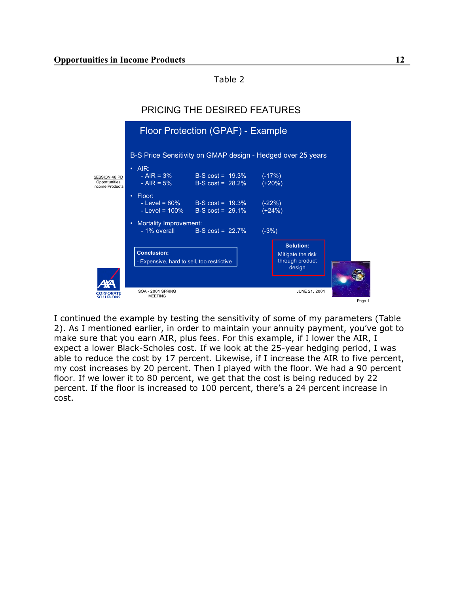Table 2



I continued the example by testing the sensitivity of some of my parameters (Table 2). As I mentioned earlier, in order to maintain your annuity payment, you've got to make sure that you earn AIR, plus fees. For this example, if I lower the AIR, I expect a lower Black-Scholes cost. If we look at the 25-year hedging period, I was able to reduce the cost by 17 percent. Likewise, if I increase the AIR to five percent, my cost increases by 20 percent. Then I played with the floor. We had a 90 percent floor. If we lower it to 80 percent, we get that the cost is being reduced by 22 percent. If the floor is increased to 100 percent, there's a 24 percent increase in cost.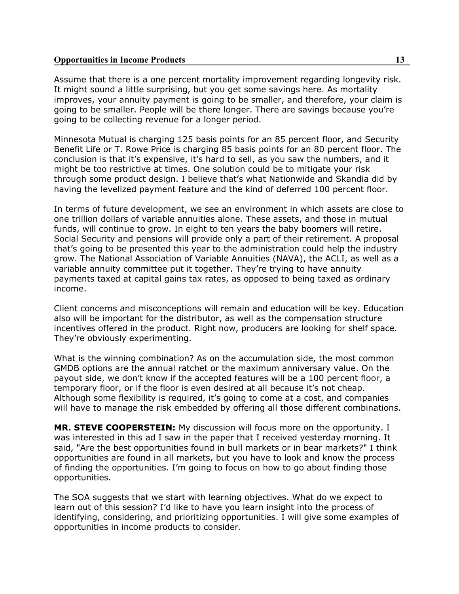Assume that there is a one percent mortality improvement regarding longevity risk. It might sound a little surprising, but you get some savings here. As mortality improves, your annuity payment is going to be smaller, and therefore, your claim is going to be smaller. People will be there longer. There are savings because you're going to be collecting revenue for a longer period.

Minnesota Mutual is charging 125 basis points for an 85 percent floor, and Security Benefit Life or T. Rowe Price is charging 85 basis points for an 80 percent floor. The conclusion is that it's expensive, it's hard to sell, as you saw the numbers, and it might be too restrictive at times. One solution could be to mitigate your risk through some product design. I believe that's what Nationwide and Skandia did by having the levelized payment feature and the kind of deferred 100 percent floor.

In terms of future development, we see an environment in which assets are close to one trillion dollars of variable annuities alone. These assets, and those in mutual funds, will continue to grow. In eight to ten years the baby boomers will retire. Social Security and pensions will provide only a part of their retirement. A proposal that's going to be presented this year to the administration could help the industry grow. The National Association of Variable Annuities (NAVA), the ACLI, as well as a variable annuity committee put it together. They're trying to have annuity payments taxed at capital gains tax rates, as opposed to being taxed as ordinary income.

Client concerns and misconceptions will remain and education will be key. Education also will be important for the distributor, as well as the compensation structure incentives offered in the product. Right now, producers are looking for shelf space. They're obviously experimenting.

What is the winning combination? As on the accumulation side, the most common GMDB options are the annual ratchet or the maximum anniversary value. On the payout side, we don't know if the accepted features will be a 100 percent floor, a temporary floor, or if the floor is even desired at all because it's not cheap. Although some flexibility is required, it's going to come at a cost, and companies will have to manage the risk embedded by offering all those different combinations.

**MR. STEVE COOPERSTEIN:** My discussion will focus more on the opportunity. I was interested in this ad I saw in the paper that I received yesterday morning. It said, "Are the best opportunities found in bull markets or in bear markets?" I think opportunities are found in all markets, but you have to look and know the process of finding the opportunities. I'm going to focus on how to go about finding those opportunities.

The SOA suggests that we start with learning objectives. What do we expect to learn out of this session? I'd like to have you learn insight into the process of identifying, considering, and prioritizing opportunities. I will give some examples of opportunities in income products to consider.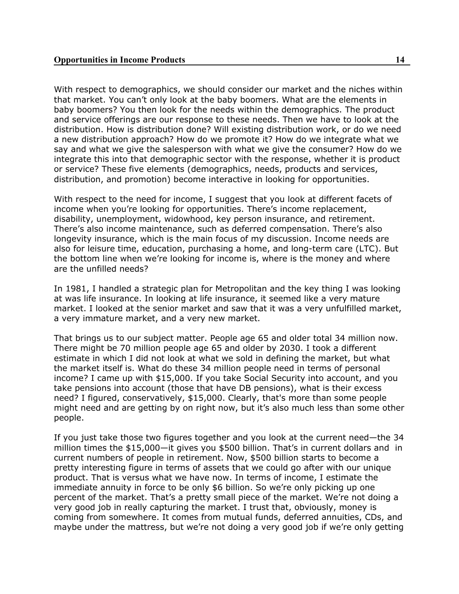With respect to demographics, we should consider our market and the niches within that market. You can't only look at the baby boomers. What are the elements in baby boomers? You then look for the needs within the demographics. The product and service offerings are our response to these needs. Then we have to look at the distribution. How is distribution done? Will existing distribution work, or do we need a new distribution approach? How do we promote it? How do we integrate what we say and what we give the salesperson with what we give the consumer? How do we integrate this into that demographic sector with the response, whether it is product or service? These five elements (demographics, needs, products and services, distribution, and promotion) become interactive in looking for opportunities.

With respect to the need for income, I suggest that you look at different facets of income when you're looking for opportunities. There's income replacement, disability, unemployment, widowhood, key person insurance, and retirement. There's also income maintenance, such as deferred compensation. There's also longevity insurance, which is the main focus of my discussion. Income needs are also for leisure time, education, purchasing a home, and long-term care (LTC). But the bottom line when we're looking for income is, where is the money and where are the unfilled needs?

In 1981, I handled a strategic plan for Metropolitan and the key thing I was looking at was life insurance. In looking at life insurance, it seemed like a very mature market. I looked at the senior market and saw that it was a very unfulfilled market, a very immature market, and a very new market.

That brings us to our subject matter. People age 65 and older total 34 million now. There might be 70 million people age 65 and older by 2030. I took a different estimate in which I did not look at what we sold in defining the market, but what the market itself is. What do these 34 million people need in terms of personal income? I came up with \$15,000. If you take Social Security into account, and you take pensions into account (those that have DB pensions), what is their excess need? I figured, conservatively, \$15,000. Clearly, that's more than some people might need and are getting by on right now, but it's also much less than some other people.

If you just take those two figures together and you look at the current need—the 34 million times the \$15,000—it gives you \$500 billion. That's in current dollars and in current numbers of people in retirement. Now, \$500 billion starts to become a pretty interesting figure in terms of assets that we could go after with our unique product. That is versus what we have now. In terms of income, I estimate the immediate annuity in force to be only \$6 billion. So we're only picking up one percent of the market. That's a pretty small piece of the market. We're not doing a very good job in really capturing the market. I trust that, obviously, money is coming from somewhere. It comes from mutual funds, deferred annuities, CDs, and maybe under the mattress, but we're not doing a very good job if we're only getting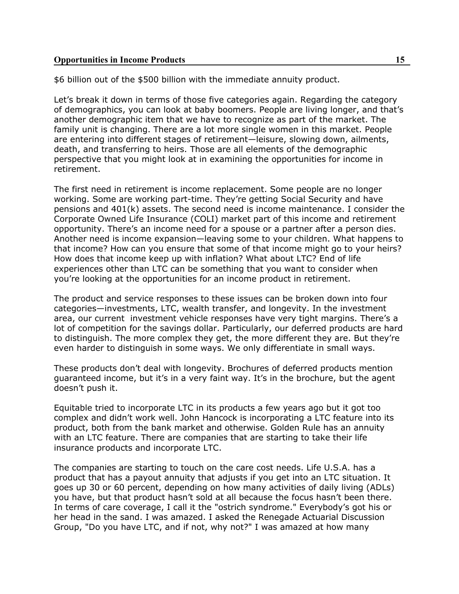\$6 billion out of the \$500 billion with the immediate annuity product.

Let's break it down in terms of those five categories again. Regarding the category of demographics, you can look at baby boomers. People are living longer, and that's another demographic item that we have to recognize as part of the market. The family unit is changing. There are a lot more single women in this market. People are entering into different stages of retirement—leisure, slowing down, ailments, death, and transferring to heirs. Those are all elements of the demographic perspective that you might look at in examining the opportunities for income in retirement.

The first need in retirement is income replacement. Some people are no longer working. Some are working part-time. They're getting Social Security and have pensions and 401(k) assets. The second need is income maintenance. I consider the Corporate Owned Life Insurance (COLI) market part of this income and retirement opportunity. There's an income need for a spouse or a partner after a person dies. Another need is income expansion—leaving some to your children. What happens to that income? How can you ensure that some of that income might go to your heirs? How does that income keep up with inflation? What about LTC? End of life experiences other than LTC can be something that you want to consider when you're looking at the opportunities for an income product in retirement.

The product and service responses to these issues can be broken down into four categories—investments, LTC, wealth transfer, and longevity. In the investment area, our current investment vehicle responses have very tight margins. There's a lot of competition for the savings dollar. Particularly, our deferred products are hard to distinguish. The more complex they get, the more different they are. But they're even harder to distinguish in some ways. We only differentiate in small ways.

These products don't deal with longevity. Brochures of deferred products mention guaranteed income, but it's in a very faint way. It's in the brochure, but the agent doesn't push it.

Equitable tried to incorporate LTC in its products a few years ago but it got too complex and didn't work well. John Hancock is incorporating a LTC feature into its product, both from the bank market and otherwise. Golden Rule has an annuity with an LTC feature. There are companies that are starting to take their life insurance products and incorporate LTC.

The companies are starting to touch on the care cost needs. Life U.S.A. has a product that has a payout annuity that adjusts if you get into an LTC situation. It goes up 30 or 60 percent, depending on how many activities of daily living (ADLs) you have, but that product hasn't sold at all because the focus hasn't been there. In terms of care coverage, I call it the "ostrich syndrome." Everybody's got his or her head in the sand. I was amazed. I asked the Renegade Actuarial Discussion Group, "Do you have LTC, and if not, why not?" I was amazed at how many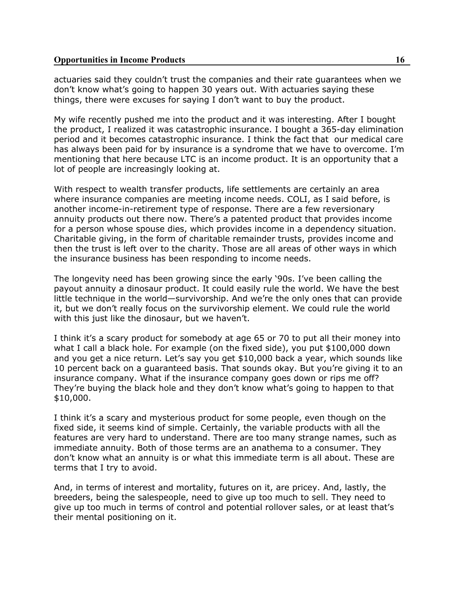actuaries said they couldn't trust the companies and their rate guarantees when we don't know what's going to happen 30 years out. With actuaries saying these things, there were excuses for saying I don't want to buy the product.

My wife recently pushed me into the product and it was interesting. After I bought the product, I realized it was catastrophic insurance. I bought a 365-day elimination period and it becomes catastrophic insurance. I think the fact that our medical care has always been paid for by insurance is a syndrome that we have to overcome. I'm mentioning that here because LTC is an income product. It is an opportunity that a lot of people are increasingly looking at.

With respect to wealth transfer products, life settlements are certainly an area where insurance companies are meeting income needs. COLI, as I said before, is another income-in-retirement type of response. There are a few reversionary annuity products out there now. There's a patented product that provides income for a person whose spouse dies, which provides income in a dependency situation. Charitable giving, in the form of charitable remainder trusts, provides income and then the trust is left over to the charity. Those are all areas of other ways in which the insurance business has been responding to income needs.

The longevity need has been growing since the early '90s. I've been calling the payout annuity a dinosaur product. It could easily rule the world. We have the best little technique in the world—survivorship. And we're the only ones that can provide it, but we don't really focus on the survivorship element. We could rule the world with this just like the dinosaur, but we haven't.

I think it's a scary product for somebody at age 65 or 70 to put all their money into what I call a black hole. For example (on the fixed side), you put \$100,000 down and you get a nice return. Let's say you get \$10,000 back a year, which sounds like 10 percent back on a guaranteed basis. That sounds okay. But you're giving it to an insurance company. What if the insurance company goes down or rips me off? They're buying the black hole and they don't know what's going to happen to that \$10,000.

I think it's a scary and mysterious product for some people, even though on the fixed side, it seems kind of simple. Certainly, the variable products with all the features are very hard to understand. There are too many strange names, such as immediate annuity. Both of those terms are an anathema to a consumer. They don't know what an annuity is or what this immediate term is all about. These are terms that I try to avoid.

And, in terms of interest and mortality, futures on it, are pricey. And, lastly, the breeders, being the salespeople, need to give up too much to sell. They need to give up too much in terms of control and potential rollover sales, or at least that's their mental positioning on it.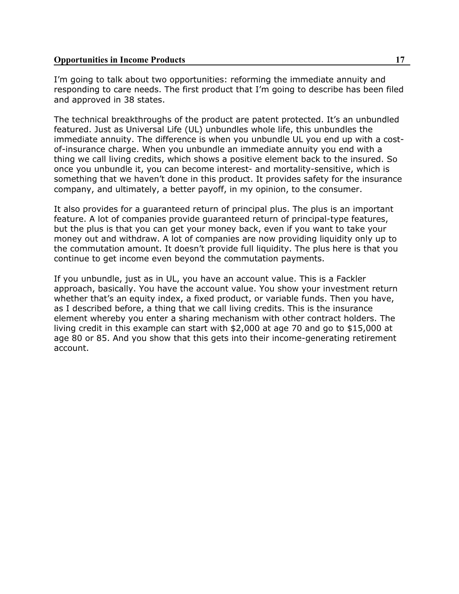I'm going to talk about two opportunities: reforming the immediate annuity and responding to care needs. The first product that I'm going to describe has been filed and approved in 38 states.

The technical breakthroughs of the product are patent protected. It's an unbundled featured. Just as Universal Life (UL) unbundles whole life, this unbundles the immediate annuity. The difference is when you unbundle UL you end up with a costof-insurance charge. When you unbundle an immediate annuity you end with a thing we call living credits, which shows a positive element back to the insured. So once you unbundle it, you can become interest- and mortality-sensitive, which is something that we haven't done in this product. It provides safety for the insurance company, and ultimately, a better payoff, in my opinion, to the consumer.

It also provides for a guaranteed return of principal plus. The plus is an important feature. A lot of companies provide guaranteed return of principal-type features, but the plus is that you can get your money back, even if you want to take your money out and withdraw. A lot of companies are now providing liquidity only up to the commutation amount. It doesn't provide full liquidity. The plus here is that you continue to get income even beyond the commutation payments.

If you unbundle, just as in UL, you have an account value. This is a Fackler approach, basically. You have the account value. You show your investment return whether that's an equity index, a fixed product, or variable funds. Then you have, as I described before, a thing that we call living credits. This is the insurance element whereby you enter a sharing mechanism with other contract holders. The living credit in this example can start with \$2,000 at age 70 and go to \$15,000 at age 80 or 85. And you show that this gets into their income-generating retirement account.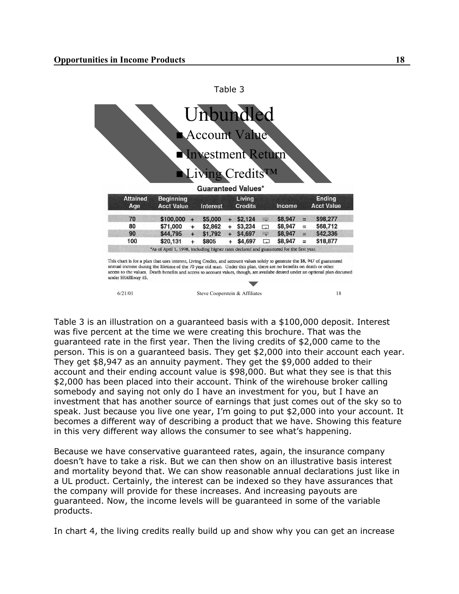|                 |                   |     | Account Value             |     |                |        |         |          |                   |
|-----------------|-------------------|-----|---------------------------|-----|----------------|--------|---------|----------|-------------------|
|                 |                   |     |                           |     |                |        |         |          |                   |
|                 |                   |     | Investment Return         |     |                |        |         |          |                   |
|                 |                   |     |                           |     |                |        |         |          |                   |
|                 |                   |     | Living CreditsTM          |     |                |        |         |          |                   |
|                 |                   |     |                           |     |                |        |         |          |                   |
|                 |                   |     |                           |     |                |        |         |          |                   |
|                 |                   |     | <b>Guaranteed Values*</b> |     |                |        |         |          |                   |
| <b>Attained</b> | <b>Beginning</b>  |     |                           |     | Living         |        |         |          | <b>Ending</b>     |
| Age             | <b>Acct Value</b> |     | <b>Interest</b>           |     | <b>Credits</b> |        | Income  |          | <b>Acct Value</b> |
| 70              | \$100,000         | $+$ | \$5,000                   |     | $+$ \$2,124    | m      | \$8,947 | $=$      | \$98,277          |
| 80              | $$71,000 +$       |     | \$2,862                   |     | $+$ \$3,234    | $\Box$ | \$8,947 | $=$      | \$68,712          |
| 90              | \$44,795          | $+$ | \$1,792                   |     | $+$ \$4,697    | m      | \$8,947 | $=$      | \$42,336          |
| 100             | \$20,131          | $+$ | \$805                     | $+$ | \$4,697        | $\Box$ | \$8,947 | $\equiv$ | \$18,877          |

Table 3

Table 3 is an illustration on a guaranteed basis with a \$100,000 deposit. Interest was five percent at the time we were creating this brochure. That was the guaranteed rate in the first year. Then the living credits of \$2,000 came to the person. This is on a guaranteed basis. They get \$2,000 into their account each year. They get \$8,947 as an annuity payment. They get the \$9,000 added to their account and their ending account value is \$98,000. But what they see is that this \$2,000 has been placed into their account. Think of the wirehouse broker calling somebody and saying not only do I have an investment for you, but I have an investment that has another source of earnings that just comes out of the sky so to speak. Just because you live one year, I'm going to put \$2,000 into your account. It becomes a different way of describing a product that we have. Showing this feature in this very different way allows the consumer to see what's happening.

6/21/01 Steve Cooperstein & Affiliates 18

Because we have conservative guaranteed rates, again, the insurance company doesn't have to take a risk. But we can then show on an illustrative basis interest and mortality beyond that. We can show reasonable annual declarations just like in a UL product. Certainly, the interest can be indexed so they have assurances that the company will provide for these increases. And increasing payouts are guaranteed. Now, the income levels will be guaranteed in some of the variable products.

In chart 4, the living credits really build up and show why you can get an increase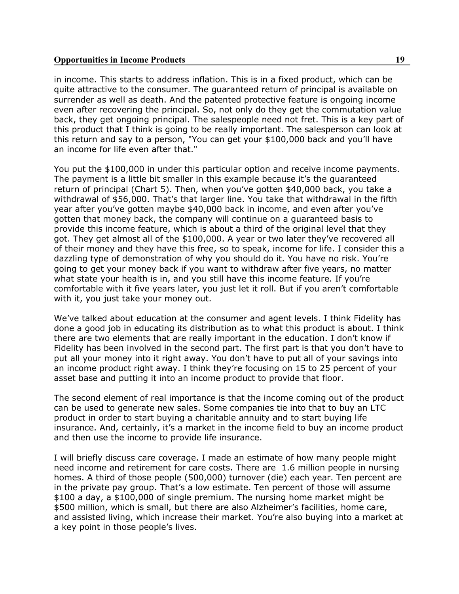in income. This starts to address inflation. This is in a fixed product, which can be quite attractive to the consumer. The guaranteed return of principal is available on surrender as well as death. And the patented protective feature is ongoing income even after recovering the principal. So, not only do they get the commutation value back, they get ongoing principal. The salespeople need not fret. This is a key part of this product that I think is going to be really important. The salesperson can look at this return and say to a person, "You can get your \$100,000 back and you'll have an income for life even after that."

You put the \$100,000 in under this particular option and receive income payments. The payment is a little bit smaller in this example because it's the guaranteed return of principal (Chart 5). Then, when you've gotten \$40,000 back, you take a withdrawal of \$56,000. That's that larger line. You take that withdrawal in the fifth year after you've gotten maybe \$40,000 back in income, and even after you've gotten that money back, the company will continue on a guaranteed basis to provide this income feature, which is about a third of the original level that they got. They get almost all of the \$100,000. A year or two later they've recovered all of their money and they have this free, so to speak, income for life. I consider this a dazzling type of demonstration of why you should do it. You have no risk. You're going to get your money back if you want to withdraw after five years, no matter what state your health is in, and you still have this income feature. If you're comfortable with it five years later, you just let it roll. But if you aren't comfortable with it, you just take your money out.

We've talked about education at the consumer and agent levels. I think Fidelity has done a good job in educating its distribution as to what this product is about. I think there are two elements that are really important in the education. I don't know if Fidelity has been involved in the second part. The first part is that you don't have to put all your money into it right away. You don't have to put all of your savings into an income product right away. I think they're focusing on 15 to 25 percent of your asset base and putting it into an income product to provide that floor.

The second element of real importance is that the income coming out of the product can be used to generate new sales. Some companies tie into that to buy an LTC product in order to start buying a charitable annuity and to start buying life insurance. And, certainly, it's a market in the income field to buy an income product and then use the income to provide life insurance.

I will briefly discuss care coverage. I made an estimate of how many people might need income and retirement for care costs. There are 1.6 million people in nursing homes. A third of those people (500,000) turnover (die) each year. Ten percent are in the private pay group. That's a low estimate. Ten percent of those will assume \$100 a day, a \$100,000 of single premium. The nursing home market might be \$500 million, which is small, but there are also Alzheimer's facilities, home care, and assisted living, which increase their market. You're also buying into a market at a key point in those people's lives.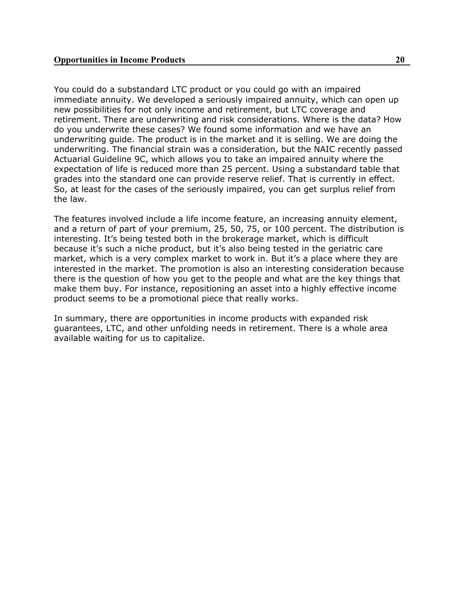You could do a substandard LTC product or you could go with an impaired immediate annuity. We developed a seriously impaired annuity, which can open up new possibilities for not only income and retirement, but LTC coverage and retirement. There are underwriting and risk considerations. Where is the data? How do you underwrite these cases? We found some information and we have an underwriting guide. The product is in the market and it is selling. We are doing the underwriting. The financial strain was a consideration, but the NAIC recently passed Actuarial Guideline 9C, which allows you to take an impaired annuity where the expectation of life is reduced more than 25 percent. Using a substandard table that grades into the standard one can provide reserve relief. That is currently in effect. So, at least for the cases of the seriously impaired, you can get surplus relief from the law.

The features involved include a life income feature, an increasing annuity element, and a return of part of your premium, 25, 50, 75, or 100 percent. The distribution is interesting. It's being tested both in the brokerage market, which is difficult because it's such a niche product, but it's also being tested in the geriatric care market, which is a very complex market to work in. But it's a place where they are interested in the market. The promotion is also an interesting consideration because there is the question of how you get to the people and what are the key things that make them buy. For instance, repositioning an asset into a highly effective income product seems to be a promotional piece that really works.

In summary, there are opportunities in income products with expanded risk guarantees, LTC, and other unfolding needs in retirement. There is a whole area available waiting for us to capitalize.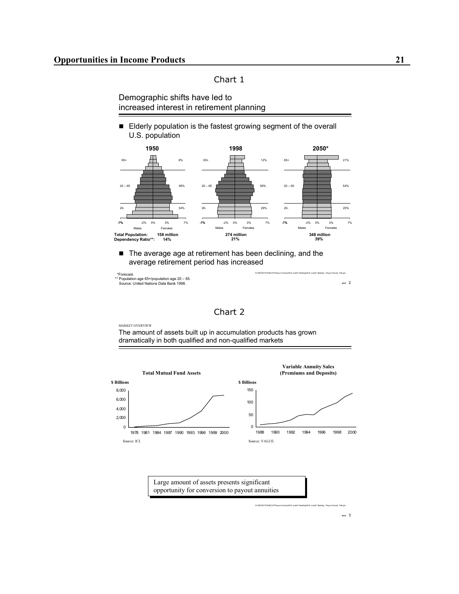#### Chart 1

Demographic shifts have led to increased interest in retirement planning

Elderly population is the fastest growing segment of the overall U.S. population



■ The average age at retirement has been declining, and the average retirement period has increased

| *Forecast.                                    | S:\09079/01FS\HECHT\Pavout Annuity\SOA June01 Meeting\SOA June01 Meeting - Pavout Annuity Talk.cot |
|-----------------------------------------------|----------------------------------------------------------------------------------------------------|
| ** Population age 65+/population age 20 - 65. |                                                                                                    |
| Source: United Nations Data Bank 1998.        | <b>NY</b>                                                                                          |

| iar |  |
|-----|--|

MARKET OVERVIEW

The amount of assets built up in accumulation products has grown dramatically in both qualified and non-qualified markets



S:\09079\01FS\HECHT\Payout Annuity\SOA June01 Meeting\SOA June01 Meeting - Payout Annuity Talk.ppt

**NYO** 3

**NYO** 2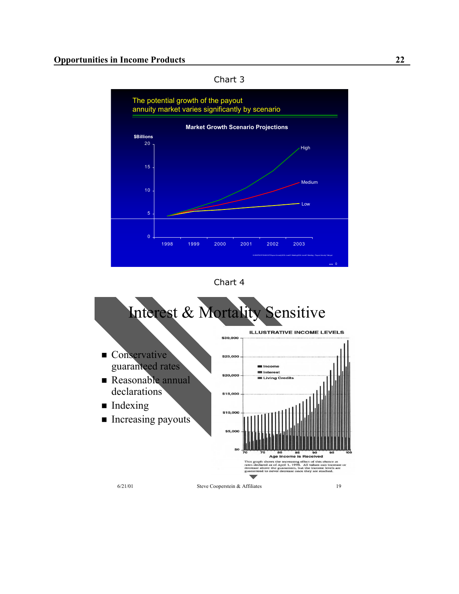



Chart 4